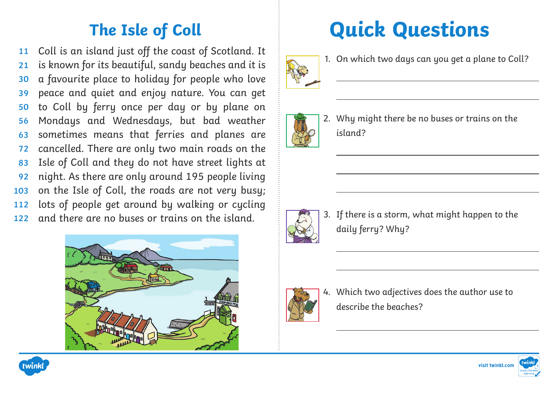Coll is an island just off the coast of Scotland. It is known for its beautiful, sandy beaches and it is a favourite place to holiday for people who love peace and quiet and enjoy nature. You can get to Coll by ferry once per day or by plane on Mondays and Wednesdays, but bad weather sometimes means that ferries and planes are cancelled. There are only two main roads on the Isle of Coll and they do not have street lights at night. As there are only around 195 people living on the Isle of Coll, the roads are not very busy; lots of people get around by walking or cycling and there are no buses or trains on the island. **11 21 30 39 50 56 63 72 83 92 103 112 122**



## **The Isle of Coll Quick Questions**



1. On which two days can you get a plane to Coll?



2. Why might there be no buses or trains on the island?



3. If there is a storm, what might happen to the daily ferry? Why?



4. Which two adjectives does the author use to describe the beaches?